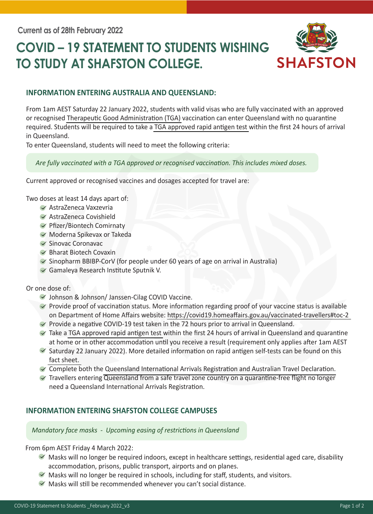# **COVID – 19 STATEMENT TO STUDENTS WISHING TO STUDY AT SHAFSTON COLLEGE.**



### **INFORMATION ENTERING AUSTRALIA AND QUEENSLAND:**

From 1am AEST Saturday 22 January 2022, students with valid visas who are fully vaccinated with an approved or recognised [Therapeutic Good Administration \(TGA\)](https://www.smartraveller.gov.au/COVID-19/COVID-19-vaccinations#TGA-approved) vaccination can enter Queensland with no quarantine required. Students will be required to take a [TGA approved rapid antigen test](https://www.tga.gov.au/covid-19-rapid-antigen-self-tests-are-approved-australia) within the first 24 hours of arrival in Queensland.

To enter Queensland, students will need to meet the following criteria:

 *Are fully vaccinated with a TGA approved or recognised vaccination. This includes mixed doses.* 

Current approved or recognised vaccines and dosages accepted for travel are:

Two doses at least 14 days apart of:

- AstraZeneca Vaxzevria
- AstraZeneca Covishield
- Pfizer/Biontech Comirnaty
- Moderna Spikevax or Takeda
- $\blacktriangledown$  Sinovac Coronavac
- $\blacktriangleright$  Bharat Biotech Covaxin
- $\blacktriangleright$  Sinopharm BBIBP-CorV (for people under 60 years of age on arrival in Australia)
- Gamaleya Research Institute Sputnik V.

Or one dose of:

- Johnson & Johnson/ Janssen-Cilag COVID Vaccine.
- $\blacktriangledown$  Provide proof of vaccination status. More information regarding proof of your vaccine status is available on Department of Home Affairs website:<https://covid19.homeaffairs.gov.au/vaccinated-travellers#toc-2>
- $\blacktriangledown$  Provide a negative COVID-19 test taken in the 72 hours prior to arrival in Queensland.
- $\blacktriangledown$  Take a [TGA approved rapid antigen test](https://www.tga.gov.au/covid-19-rapid-antigen-self-tests-are-approved-australia) within the first 24 hours of arrival in Queensland and quarantine at home or in other accommodation until you receive a result (requirement only applies after 1am AEST
- $\blacktriangleright$  Saturday 22 January 2022). More detailed information on rapid antigen self-tests can be found on this [fact sheet.](chrome-extension://efaidnbmnnnibpcajpcglclefindmkaj/viewer.html?pdfurl=https%3A%2F%2Fwww.tga.gov.au%2Fsites%2Fdefault%2Ffiles%2Fconsumer-fact-sheet-rapid-antigen-self-tests.pdf&clen=372451&chunk=true)
- Complete both the [Queensland International Arrivals Registration and Australian Travel Declaration.](https://www.qld.gov.au/internationalarrivalstoqld)
- Travellers entering Queensland from a safe travel zone country on a quarantine-free flight no longer need a Queensland International Arrivals Registration.

### **INFORMATION ENTERING SHAFSTON COLLEGE CAMPUSES**

 *Mandatory face masks - Upcoming easing of restrictions in Queensland*

From 6pm AEST Friday 4 March 2022:

- Masks will no longer be required indoors, except in healthcare settings, residential aged care, disability accommodation, prisons, public transport, airports and on planes.
- $\blacktriangleright$  Masks will no longer be required in schools, including for staff, students, and visitors.
- $\blacktriangleright$  Masks will still be recommended whenever you can't social distance.